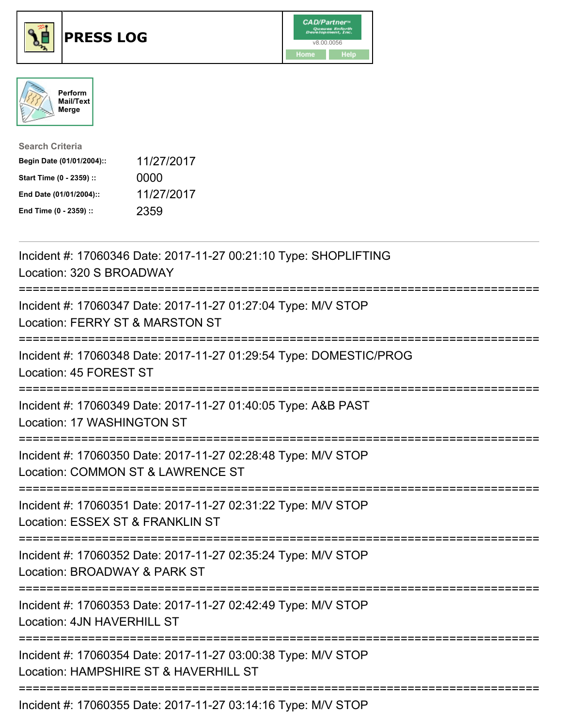





| <b>Search Criteria</b>    |            |
|---------------------------|------------|
| Begin Date (01/01/2004):: | 11/27/2017 |
| Start Time (0 - 2359) ::  | 0000       |
| End Date (01/01/2004)::   | 11/27/2017 |
| End Time (0 - 2359) ::    | 2359       |

| Incident #: 17060346 Date: 2017-11-27 00:21:10 Type: SHOPLIFTING<br>Location: 320 S BROADWAY                                   |
|--------------------------------------------------------------------------------------------------------------------------------|
| Incident #: 17060347 Date: 2017-11-27 01:27:04 Type: M/V STOP<br>Location: FERRY ST & MARSTON ST<br>--------                   |
| Incident #: 17060348 Date: 2017-11-27 01:29:54 Type: DOMESTIC/PROG<br>Location: 45 FOREST ST<br>-----------                    |
| Incident #: 17060349 Date: 2017-11-27 01:40:05 Type: A&B PAST<br>Location: 17 WASHINGTON ST<br>--------------                  |
| Incident #: 17060350 Date: 2017-11-27 02:28:48 Type: M/V STOP<br>Location: COMMON ST & LAWRENCE ST                             |
| Incident #: 17060351 Date: 2017-11-27 02:31:22 Type: M/V STOP<br>Location: ESSEX ST & FRANKLIN ST<br>========================= |
| Incident #: 17060352 Date: 2017-11-27 02:35:24 Type: M/V STOP<br>Location: BROADWAY & PARK ST<br>=========================     |
| Incident #: 17060353 Date: 2017-11-27 02:42:49 Type: M/V STOP<br>Location: 4JN HAVERHILL ST                                    |
| Incident #: 17060354 Date: 2017-11-27 03:00:38 Type: M/V STOP<br>Location: HAMPSHIRE ST & HAVERHILL ST                         |
| Incident #: 17060355 Date: 2017-11-27 03:14:16 Type: M/V STOP                                                                  |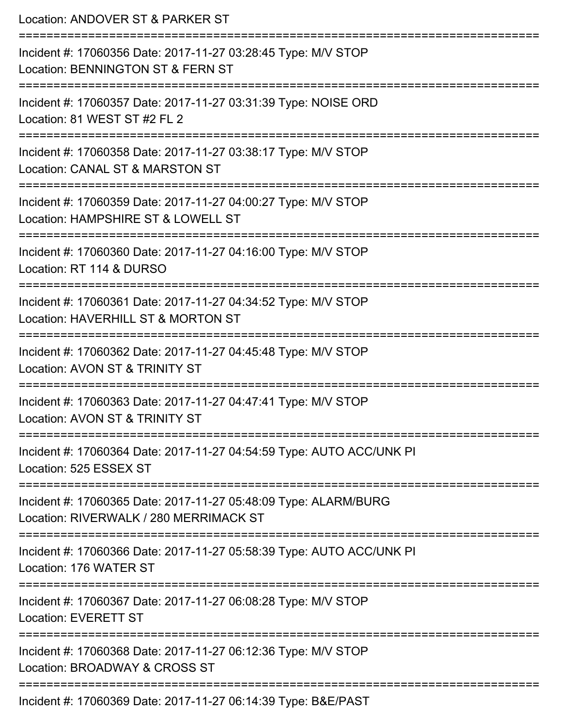| Location: ANDOVER ST & PARKER ST                                                                                         |
|--------------------------------------------------------------------------------------------------------------------------|
| Incident #: 17060356 Date: 2017-11-27 03:28:45 Type: M/V STOP<br>Location: BENNINGTON ST & FERN ST                       |
| Incident #: 17060357 Date: 2017-11-27 03:31:39 Type: NOISE ORD<br>Location: 81 WEST ST #2 FL 2                           |
| Incident #: 17060358 Date: 2017-11-27 03:38:17 Type: M/V STOP<br>Location: CANAL ST & MARSTON ST<br>==================== |
| Incident #: 17060359 Date: 2017-11-27 04:00:27 Type: M/V STOP<br>Location: HAMPSHIRE ST & LOWELL ST                      |
| Incident #: 17060360 Date: 2017-11-27 04:16:00 Type: M/V STOP<br>Location: RT 114 & DURSO                                |
| Incident #: 17060361 Date: 2017-11-27 04:34:52 Type: M/V STOP<br>Location: HAVERHILL ST & MORTON ST                      |
| Incident #: 17060362 Date: 2017-11-27 04:45:48 Type: M/V STOP<br>Location: AVON ST & TRINITY ST                          |
| Incident #: 17060363 Date: 2017-11-27 04:47:41 Type: M/V STOP<br>Location: AVON ST & TRINITY ST                          |
| Incident #: 17060364 Date: 2017-11-27 04:54:59 Type: AUTO ACC/UNK PI<br>Location: 525 ESSEX ST                           |
| Incident #: 17060365 Date: 2017-11-27 05:48:09 Type: ALARM/BURG<br>Location: RIVERWALK / 280 MERRIMACK ST                |
| Incident #: 17060366 Date: 2017-11-27 05:58:39 Type: AUTO ACC/UNK PI<br>Location: 176 WATER ST                           |
| Incident #: 17060367 Date: 2017-11-27 06:08:28 Type: M/V STOP<br><b>Location: EVERETT ST</b>                             |
| Incident #: 17060368 Date: 2017-11-27 06:12:36 Type: M/V STOP<br>Location: BROADWAY & CROSS ST                           |
| $D_{\text{max}}$ , 0047.44.07.00.44.00 T, $\text{max}$ , DQF/DAOT                                                        |

Incident #: 17060369 Date: 2017-11-27 06:14:39 Type: B&E/PAST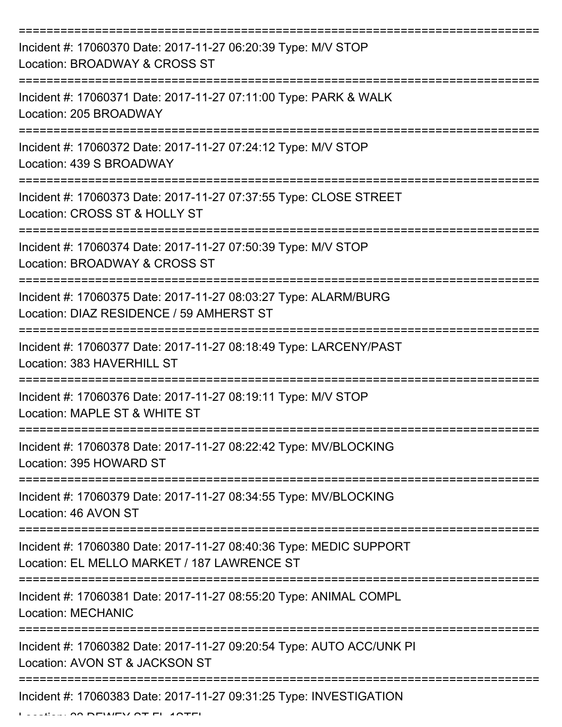| Incident #: 17060370 Date: 2017-11-27 06:20:39 Type: M/V STOP<br>Location: BROADWAY & CROSS ST                    |
|-------------------------------------------------------------------------------------------------------------------|
| Incident #: 17060371 Date: 2017-11-27 07:11:00 Type: PARK & WALK<br>Location: 205 BROADWAY                        |
| Incident #: 17060372 Date: 2017-11-27 07:24:12 Type: M/V STOP<br>Location: 439 S BROADWAY                         |
| Incident #: 17060373 Date: 2017-11-27 07:37:55 Type: CLOSE STREET<br>Location: CROSS ST & HOLLY ST                |
| Incident #: 17060374 Date: 2017-11-27 07:50:39 Type: M/V STOP<br>Location: BROADWAY & CROSS ST                    |
| Incident #: 17060375 Date: 2017-11-27 08:03:27 Type: ALARM/BURG<br>Location: DIAZ RESIDENCE / 59 AMHERST ST       |
| Incident #: 17060377 Date: 2017-11-27 08:18:49 Type: LARCENY/PAST<br>Location: 383 HAVERHILL ST                   |
| Incident #: 17060376 Date: 2017-11-27 08:19:11 Type: M/V STOP<br>Location: MAPLE ST & WHITE ST                    |
| Incident #: 17060378 Date: 2017-11-27 08:22:42 Type: MV/BLOCKING<br>Location: 395 HOWARD ST                       |
| Incident #: 17060379 Date: 2017-11-27 08:34:55 Type: MV/BLOCKING<br>Location: 46 AVON ST                          |
| Incident #: 17060380 Date: 2017-11-27 08:40:36 Type: MEDIC SUPPORT<br>Location: EL MELLO MARKET / 187 LAWRENCE ST |
| Incident #: 17060381 Date: 2017-11-27 08:55:20 Type: ANIMAL COMPL<br><b>Location: MECHANIC</b>                    |
| Incident #: 17060382 Date: 2017-11-27 09:20:54 Type: AUTO ACC/UNK PI<br>Location: AVON ST & JACKSON ST            |
| Incident #: 17060383 Date: 2017-11-27 09:31:25 Type: INVESTIGATION                                                |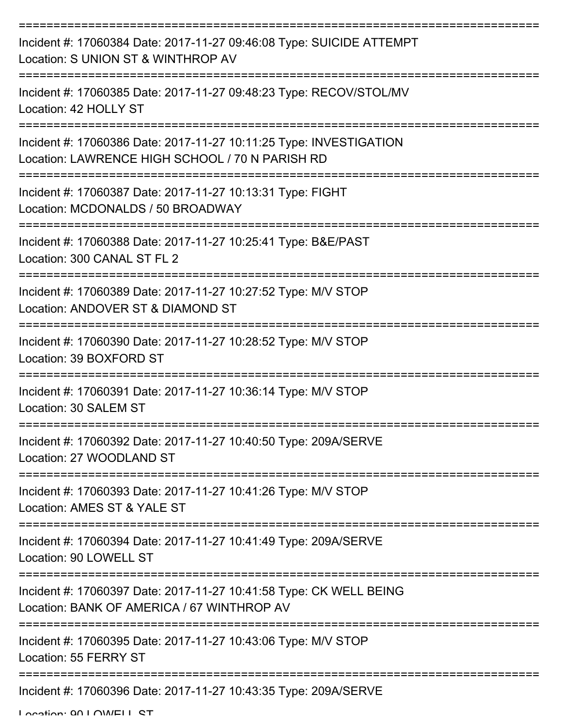| Incident #: 17060384 Date: 2017-11-27 09:46:08 Type: SUICIDE ATTEMPT<br>Location: S UNION ST & WINTHROP AV            |
|-----------------------------------------------------------------------------------------------------------------------|
| Incident #: 17060385 Date: 2017-11-27 09:48:23 Type: RECOV/STOL/MV<br>Location: 42 HOLLY ST                           |
| Incident #: 17060386 Date: 2017-11-27 10:11:25 Type: INVESTIGATION<br>Location: LAWRENCE HIGH SCHOOL / 70 N PARISH RD |
| Incident #: 17060387 Date: 2017-11-27 10:13:31 Type: FIGHT<br>Location: MCDONALDS / 50 BROADWAY                       |
| Incident #: 17060388 Date: 2017-11-27 10:25:41 Type: B&E/PAST<br>Location: 300 CANAL ST FL 2                          |
| Incident #: 17060389 Date: 2017-11-27 10:27:52 Type: M/V STOP<br>Location: ANDOVER ST & DIAMOND ST                    |
| Incident #: 17060390 Date: 2017-11-27 10:28:52 Type: M/V STOP<br>Location: 39 BOXFORD ST                              |
| Incident #: 17060391 Date: 2017-11-27 10:36:14 Type: M/V STOP<br>Location: 30 SALEM ST                                |
| Incident #: 17060392 Date: 2017-11-27 10:40:50 Type: 209A/SERVE<br>Location: 27 WOODLAND ST                           |
| Incident #: 17060393 Date: 2017-11-27 10:41:26 Type: M/V STOP<br>Location: AMES ST & YALE ST                          |
| Incident #: 17060394 Date: 2017-11-27 10:41:49 Type: 209A/SERVE<br>Location: 90 LOWELL ST                             |
| Incident #: 17060397 Date: 2017-11-27 10:41:58 Type: CK WELL BEING<br>Location: BANK OF AMERICA / 67 WINTHROP AV      |
| Incident #: 17060395 Date: 2017-11-27 10:43:06 Type: M/V STOP<br>Location: 55 FERRY ST                                |
| Incident #: 17060396 Date: 2017-11-27 10:43:35 Type: 209A/SERVE                                                       |

Location: 00 LOWELL ST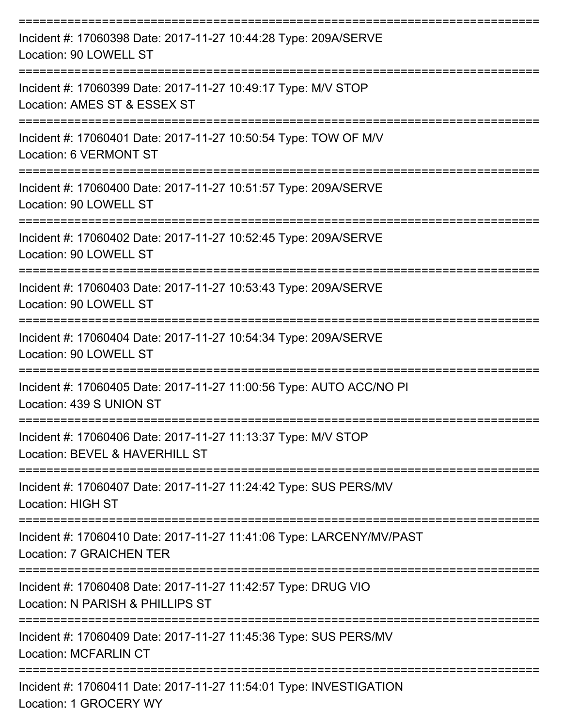| Incident #: 17060398 Date: 2017-11-27 10:44:28 Type: 209A/SERVE<br>Location: 90 LOWELL ST         |
|---------------------------------------------------------------------------------------------------|
| Incident #: 17060399 Date: 2017-11-27 10:49:17 Type: M/V STOP<br>Location: AMES ST & ESSEX ST     |
| Incident #: 17060401 Date: 2017-11-27 10:50:54 Type: TOW OF M/V<br>Location: 6 VERMONT ST         |
| Incident #: 17060400 Date: 2017-11-27 10:51:57 Type: 209A/SERVE<br>Location: 90 LOWELL ST         |
| Incident #: 17060402 Date: 2017-11-27 10:52:45 Type: 209A/SERVE<br>Location: 90 LOWELL ST         |
| Incident #: 17060403 Date: 2017-11-27 10:53:43 Type: 209A/SERVE<br>Location: 90 LOWELL ST         |
| Incident #: 17060404 Date: 2017-11-27 10:54:34 Type: 209A/SERVE<br>Location: 90 LOWELL ST         |
| Incident #: 17060405 Date: 2017-11-27 11:00:56 Type: AUTO ACC/NO PI<br>Location: 439 S UNION ST   |
| Incident #: 17060406 Date: 2017-11-27 11:13:37 Type: M/V STOP<br>Location: BEVEL & HAVERHILL ST   |
| Incident #: 17060407 Date: 2017-11-27 11:24:42 Type: SUS PERS/MV<br><b>Location: HIGH ST</b>      |
| Incident #: 17060410 Date: 2017-11-27 11:41:06 Type: LARCENY/MV/PAST<br>Location: 7 GRAICHEN TER  |
| Incident #: 17060408 Date: 2017-11-27 11:42:57 Type: DRUG VIO<br>Location: N PARISH & PHILLIPS ST |
| Incident #: 17060409 Date: 2017-11-27 11:45:36 Type: SUS PERS/MV<br><b>Location: MCFARLIN CT</b>  |
| Incident #: 17060411 Date: 2017-11-27 11:54:01 Type: INVESTIGATION<br>Location: 1 GROCERY WY      |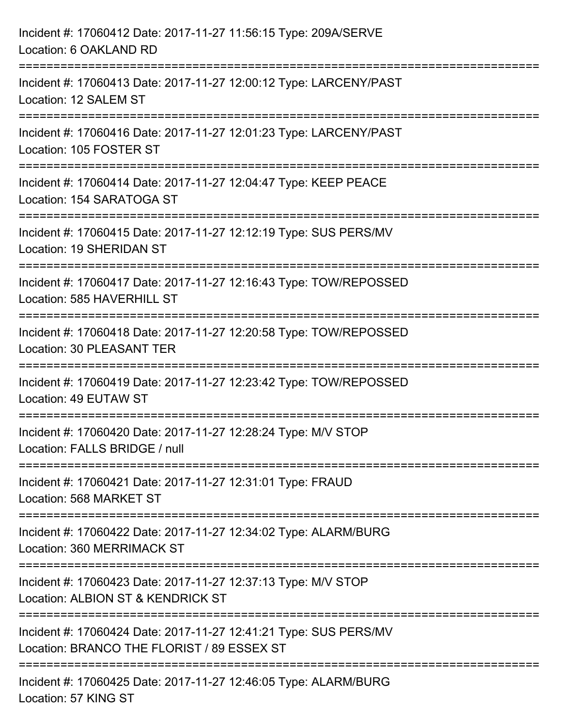| Incident #: 17060412 Date: 2017-11-27 11:56:15 Type: 209A/SERVE<br>Location: 6 OAKLAND RD                                        |
|----------------------------------------------------------------------------------------------------------------------------------|
| Incident #: 17060413 Date: 2017-11-27 12:00:12 Type: LARCENY/PAST<br>Location: 12 SALEM ST                                       |
| Incident #: 17060416 Date: 2017-11-27 12:01:23 Type: LARCENY/PAST<br>Location: 105 FOSTER ST                                     |
| Incident #: 17060414 Date: 2017-11-27 12:04:47 Type: KEEP PEACE<br>Location: 154 SARATOGA ST                                     |
| Incident #: 17060415 Date: 2017-11-27 12:12:19 Type: SUS PERS/MV<br>Location: 19 SHERIDAN ST                                     |
| Incident #: 17060417 Date: 2017-11-27 12:16:43 Type: TOW/REPOSSED<br>Location: 585 HAVERHILL ST                                  |
| Incident #: 17060418 Date: 2017-11-27 12:20:58 Type: TOW/REPOSSED<br>Location: 30 PLEASANT TER                                   |
| ==================================<br>Incident #: 17060419 Date: 2017-11-27 12:23:42 Type: TOW/REPOSSED<br>Location: 49 EUTAW ST |
| Incident #: 17060420 Date: 2017-11-27 12:28:24 Type: M/V STOP<br>Location: FALLS BRIDGE / null                                   |
| Incident #: 17060421 Date: 2017-11-27 12:31:01 Type: FRAUD<br>Location: 568 MARKET ST                                            |
| ==========================<br>Incident #: 17060422 Date: 2017-11-27 12:34:02 Type: ALARM/BURG<br>Location: 360 MERRIMACK ST      |
| Incident #: 17060423 Date: 2017-11-27 12:37:13 Type: M/V STOP<br>Location: ALBION ST & KENDRICK ST                               |
| Incident #: 17060424 Date: 2017-11-27 12:41:21 Type: SUS PERS/MV<br>Location: BRANCO THE FLORIST / 89 ESSEX ST                   |
| Incident #: 17060425 Date: 2017-11-27 12:46:05 Type: ALARM/BURG<br>Location: 57 KING ST                                          |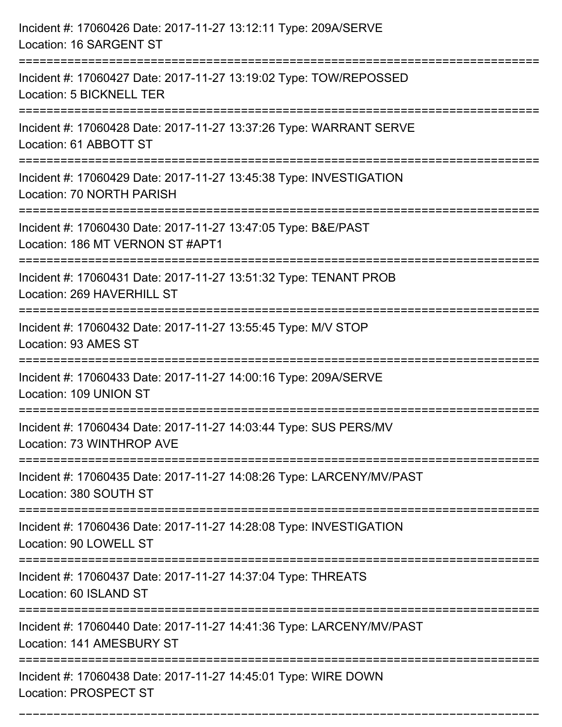| Incident #: 17060426 Date: 2017-11-27 13:12:11 Type: 209A/SERVE<br>Location: 16 SARGENT ST                                              |
|-----------------------------------------------------------------------------------------------------------------------------------------|
| Incident #: 17060427 Date: 2017-11-27 13:19:02 Type: TOW/REPOSSED<br>Location: 5 BICKNELL TER                                           |
| Incident #: 17060428 Date: 2017-11-27 13:37:26 Type: WARRANT SERVE<br>Location: 61 ABBOTT ST                                            |
| Incident #: 17060429 Date: 2017-11-27 13:45:38 Type: INVESTIGATION<br>Location: 70 NORTH PARISH                                         |
| Incident #: 17060430 Date: 2017-11-27 13:47:05 Type: B&E/PAST<br>Location: 186 MT VERNON ST #APT1<br>================================== |
| Incident #: 17060431 Date: 2017-11-27 13:51:32 Type: TENANT PROB<br>Location: 269 HAVERHILL ST                                          |
| Incident #: 17060432 Date: 2017-11-27 13:55:45 Type: M/V STOP<br>Location: 93 AMES ST                                                   |
| Incident #: 17060433 Date: 2017-11-27 14:00:16 Type: 209A/SERVE<br>Location: 109 UNION ST                                               |
| Incident #: 17060434 Date: 2017-11-27 14:03:44 Type: SUS PERS/MV<br>Location: 73 WINTHROP AVE                                           |
| Incident #: 17060435 Date: 2017-11-27 14:08:26 Type: LARCENY/MV/PAST<br>Location: 380 SOUTH ST                                          |
| Incident #: 17060436 Date: 2017-11-27 14:28:08 Type: INVESTIGATION<br>Location: 90 LOWELL ST                                            |
| Incident #: 17060437 Date: 2017-11-27 14:37:04 Type: THREATS<br>Location: 60 ISLAND ST                                                  |
| Incident #: 17060440 Date: 2017-11-27 14:41:36 Type: LARCENY/MV/PAST<br>Location: 141 AMESBURY ST                                       |
| Incident #: 17060438 Date: 2017-11-27 14:45:01 Type: WIRE DOWN<br><b>Location: PROSPECT ST</b>                                          |

===========================================================================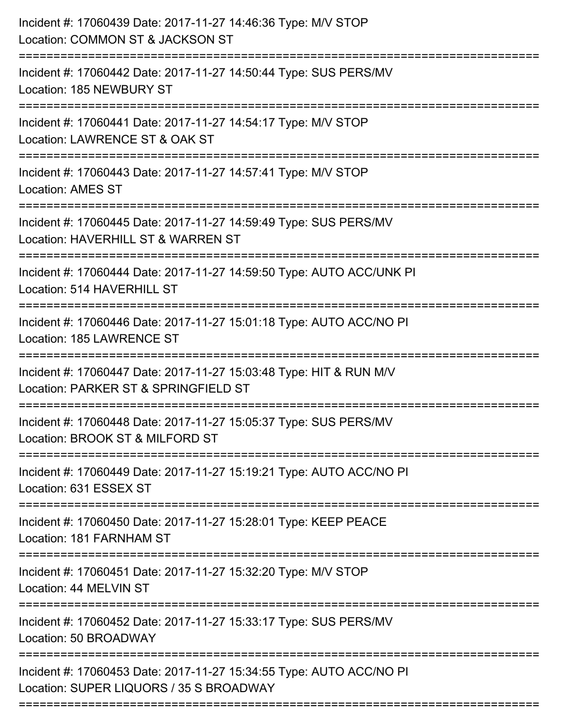| Incident #: 17060439 Date: 2017-11-27 14:46:36 Type: M/V STOP<br>Location: COMMON ST & JACKSON ST                                          |
|--------------------------------------------------------------------------------------------------------------------------------------------|
| .----------------------------<br>Incident #: 17060442 Date: 2017-11-27 14:50:44 Type: SUS PERS/MV<br>Location: 185 NEWBURY ST              |
| Incident #: 17060441 Date: 2017-11-27 14:54:17 Type: M/V STOP<br>Location: LAWRENCE ST & OAK ST                                            |
| Incident #: 17060443 Date: 2017-11-27 14:57:41 Type: M/V STOP<br><b>Location: AMES ST</b>                                                  |
| Incident #: 17060445 Date: 2017-11-27 14:59:49 Type: SUS PERS/MV<br>Location: HAVERHILL ST & WARREN ST<br>================================ |
| Incident #: 17060444 Date: 2017-11-27 14:59:50 Type: AUTO ACC/UNK PI<br>Location: 514 HAVERHILL ST                                         |
| Incident #: 17060446 Date: 2017-11-27 15:01:18 Type: AUTO ACC/NO PI<br>Location: 185 LAWRENCE ST                                           |
| Incident #: 17060447 Date: 2017-11-27 15:03:48 Type: HIT & RUN M/V<br>Location: PARKER ST & SPRINGFIELD ST                                 |
| Incident #: 17060448 Date: 2017-11-27 15:05:37 Type: SUS PERS/MV<br>Location: BROOK ST & MILFORD ST                                        |
| Incident #: 17060449 Date: 2017-11-27 15:19:21 Type: AUTO ACC/NO PI<br>Location: 631 ESSEX ST                                              |
| Incident #: 17060450 Date: 2017-11-27 15:28:01 Type: KEEP PEACE<br>Location: 181 FARNHAM ST                                                |
| Incident #: 17060451 Date: 2017-11-27 15:32:20 Type: M/V STOP<br>Location: 44 MELVIN ST                                                    |
| Incident #: 17060452 Date: 2017-11-27 15:33:17 Type: SUS PERS/MV<br>Location: 50 BROADWAY                                                  |
| Incident #: 17060453 Date: 2017-11-27 15:34:55 Type: AUTO ACC/NO PI<br>Location: SUPER LIQUORS / 35 S BROADWAY                             |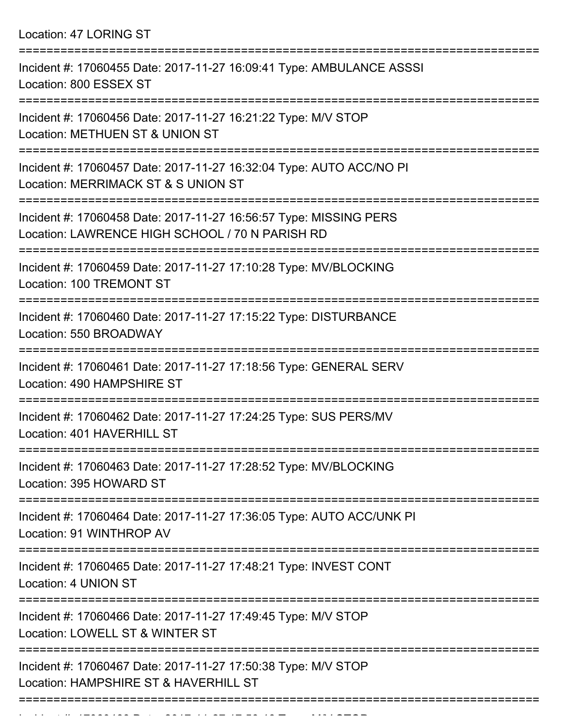| Location: 47 LORING ST |  |
|------------------------|--|
|------------------------|--|

| Incident #: 17060455 Date: 2017-11-27 16:09:41 Type: AMBULANCE ASSSI<br>Location: 800 ESSEX ST                             |
|----------------------------------------------------------------------------------------------------------------------------|
| Incident #: 17060456 Date: 2017-11-27 16:21:22 Type: M/V STOP<br>Location: METHUEN ST & UNION ST                           |
| Incident #: 17060457 Date: 2017-11-27 16:32:04 Type: AUTO ACC/NO PI<br>Location: MERRIMACK ST & S UNION ST                 |
| Incident #: 17060458 Date: 2017-11-27 16:56:57 Type: MISSING PERS<br>Location: LAWRENCE HIGH SCHOOL / 70 N PARISH RD       |
| Incident #: 17060459 Date: 2017-11-27 17:10:28 Type: MV/BLOCKING<br>Location: 100 TREMONT ST                               |
| Incident #: 17060460 Date: 2017-11-27 17:15:22 Type: DISTURBANCE<br>Location: 550 BROADWAY                                 |
| Incident #: 17060461 Date: 2017-11-27 17:18:56 Type: GENERAL SERV<br>Location: 490 HAMPSHIRE ST                            |
| Incident #: 17060462 Date: 2017-11-27 17:24:25 Type: SUS PERS/MV<br>Location: 401 HAVERHILL ST                             |
| Incident #: 17060463 Date: 2017-11-27 17:28:52 Type: MV/BLOCKING<br>Location: 395 HOWARD ST                                |
| ======================<br>Incident #: 17060464 Date: 2017-11-27 17:36:05 Type: AUTO ACC/UNK PI<br>Location: 91 WINTHROP AV |
| Incident #: 17060465 Date: 2017-11-27 17:48:21 Type: INVEST CONT<br>Location: 4 UNION ST                                   |
| Incident #: 17060466 Date: 2017-11-27 17:49:45 Type: M/V STOP<br>Location: LOWELL ST & WINTER ST                           |
| Incident #: 17060467 Date: 2017-11-27 17:50:38 Type: M/V STOP<br>Location: HAMPSHIRE ST & HAVERHILL ST                     |
|                                                                                                                            |

Incident #: 17060468 Date: 2017 11 27 17:56:46 Type: M/V STOP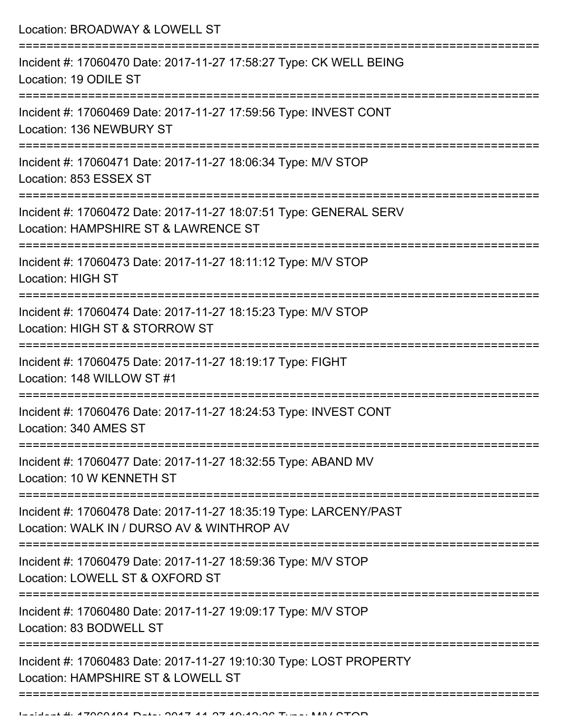| Location: BROADWAY & LOWELL ST                                                                                         |
|------------------------------------------------------------------------------------------------------------------------|
| Incident #: 17060470 Date: 2017-11-27 17:58:27 Type: CK WELL BEING<br>Location: 19 ODILE ST                            |
| Incident #: 17060469 Date: 2017-11-27 17:59:56 Type: INVEST CONT<br>Location: 136 NEWBURY ST<br>:==================    |
| Incident #: 17060471 Date: 2017-11-27 18:06:34 Type: M/V STOP<br>Location: 853 ESSEX ST                                |
| Incident #: 17060472 Date: 2017-11-27 18:07:51 Type: GENERAL SERV<br>Location: HAMPSHIRE ST & LAWRENCE ST              |
| :========================<br>Incident #: 17060473 Date: 2017-11-27 18:11:12 Type: M/V STOP<br><b>Location: HIGH ST</b> |
| Incident #: 17060474 Date: 2017-11-27 18:15:23 Type: M/V STOP<br>Location: HIGH ST & STORROW ST                        |
| Incident #: 17060475 Date: 2017-11-27 18:19:17 Type: FIGHT<br>Location: 148 WILLOW ST #1                               |
| Incident #: 17060476 Date: 2017-11-27 18:24:53 Type: INVEST CONT<br>Location: 340 AMES ST                              |
| Incident #: 17060477 Date: 2017-11-27 18:32:55 Type: ABAND MV<br>Location: 10 W KENNETH ST                             |
| Incident #: 17060478 Date: 2017-11-27 18:35:19 Type: LARCENY/PAST<br>Location: WALK IN / DURSO AV & WINTHROP AV        |
| Incident #: 17060479 Date: 2017-11-27 18:59:36 Type: M/V STOP<br>Location: LOWELL ST & OXFORD ST                       |
| Incident #: 17060480 Date: 2017-11-27 19:09:17 Type: M/V STOP<br>Location: 83 BODWELL ST                               |
| Incident #: 17060483 Date: 2017-11-27 19:10:30 Type: LOST PROPERTY<br>Location: HAMPSHIRE ST & LOWELL ST               |
|                                                                                                                        |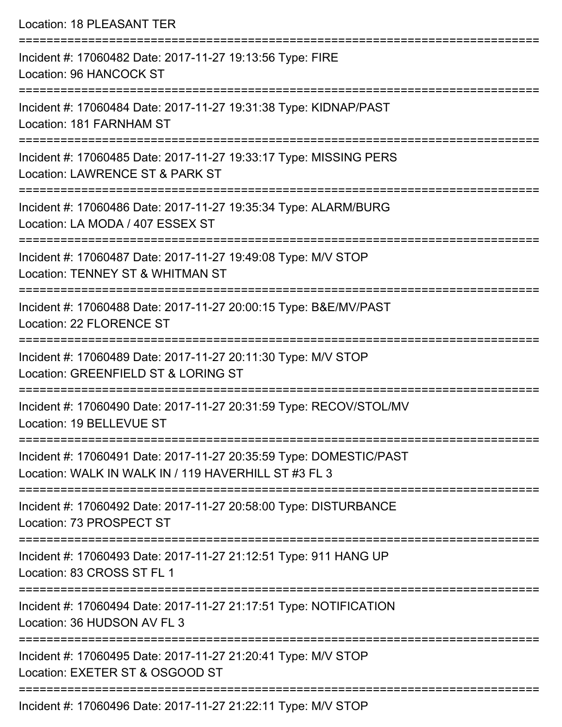| <b>Location: 18 PLEASANT TER</b>                                                                                                          |
|-------------------------------------------------------------------------------------------------------------------------------------------|
| Incident #: 17060482 Date: 2017-11-27 19:13:56 Type: FIRE<br>Location: 96 HANCOCK ST<br>=================================                 |
| Incident #: 17060484 Date: 2017-11-27 19:31:38 Type: KIDNAP/PAST<br>Location: 181 FARNHAM ST                                              |
| Incident #: 17060485 Date: 2017-11-27 19:33:17 Type: MISSING PERS<br>Location: LAWRENCE ST & PARK ST                                      |
| Incident #: 17060486 Date: 2017-11-27 19:35:34 Type: ALARM/BURG<br>Location: LA MODA / 407 ESSEX ST                                       |
| :===================================<br>Incident #: 17060487 Date: 2017-11-27 19:49:08 Type: M/V STOP<br>Location: TENNEY ST & WHITMAN ST |
| Incident #: 17060488 Date: 2017-11-27 20:00:15 Type: B&E/MV/PAST<br>Location: 22 FLORENCE ST                                              |
| Incident #: 17060489 Date: 2017-11-27 20:11:30 Type: M/V STOP<br>Location: GREENFIELD ST & LORING ST                                      |
| Incident #: 17060490 Date: 2017-11-27 20:31:59 Type: RECOV/STOL/MV<br>Location: 19 BELLEVUE ST                                            |
| Incident #: 17060491 Date: 2017-11-27 20:35:59 Type: DOMESTIC/PAST<br>Location: WALK IN WALK IN / 119 HAVERHILL ST #3 FL 3                |
| Incident #: 17060492 Date: 2017-11-27 20:58:00 Type: DISTURBANCE<br>Location: 73 PROSPECT ST                                              |
| Incident #: 17060493 Date: 2017-11-27 21:12:51 Type: 911 HANG UP<br>Location: 83 CROSS ST FL 1                                            |
| Incident #: 17060494 Date: 2017-11-27 21:17:51 Type: NOTIFICATION<br>Location: 36 HUDSON AV FL 3                                          |
| Incident #: 17060495 Date: 2017-11-27 21:20:41 Type: M/V STOP<br>Location: EXETER ST & OSGOOD ST                                          |
| Incident #: 17060496 Date: 2017-11-27 21:22:11 Type: M/V STOP                                                                             |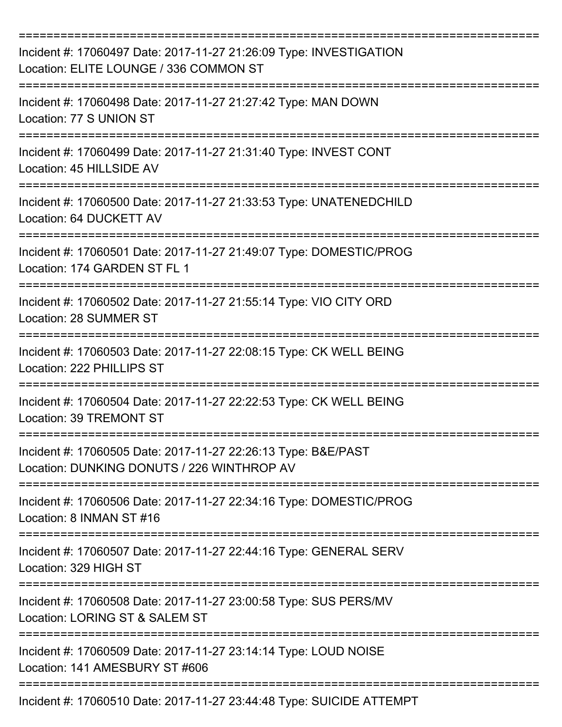| Incident #: 17060497 Date: 2017-11-27 21:26:09 Type: INVESTIGATION<br>Location: ELITE LOUNGE / 336 COMMON ST |
|--------------------------------------------------------------------------------------------------------------|
| Incident #: 17060498 Date: 2017-11-27 21:27:42 Type: MAN DOWN<br>Location: 77 S UNION ST                     |
| Incident #: 17060499 Date: 2017-11-27 21:31:40 Type: INVEST CONT<br>Location: 45 HILLSIDE AV                 |
| Incident #: 17060500 Date: 2017-11-27 21:33:53 Type: UNATENEDCHILD<br>Location: 64 DUCKETT AV                |
| Incident #: 17060501 Date: 2017-11-27 21:49:07 Type: DOMESTIC/PROG<br>Location: 174 GARDEN ST FL 1           |
| Incident #: 17060502 Date: 2017-11-27 21:55:14 Type: VIO CITY ORD<br>Location: 28 SUMMER ST                  |
| Incident #: 17060503 Date: 2017-11-27 22:08:15 Type: CK WELL BEING<br>Location: 222 PHILLIPS ST              |
| Incident #: 17060504 Date: 2017-11-27 22:22:53 Type: CK WELL BEING<br>Location: 39 TREMONT ST                |
| Incident #: 17060505 Date: 2017-11-27 22:26:13 Type: B&E/PAST<br>Location: DUNKING DONUTS / 226 WINTHROP AV  |
| Incident #: 17060506 Date: 2017-11-27 22:34:16 Type: DOMESTIC/PROG<br>Location: 8 INMAN ST #16               |
| Incident #: 17060507 Date: 2017-11-27 22:44:16 Type: GENERAL SERV<br>Location: 329 HIGH ST                   |
| Incident #: 17060508 Date: 2017-11-27 23:00:58 Type: SUS PERS/MV<br>Location: LORING ST & SALEM ST           |
| Incident #: 17060509 Date: 2017-11-27 23:14:14 Type: LOUD NOISE<br>Location: 141 AMESBURY ST #606            |
| Incident #: 17060510 Date: 2017-11-27 23:44:48 Type: SUICIDE ATTEMPT                                         |